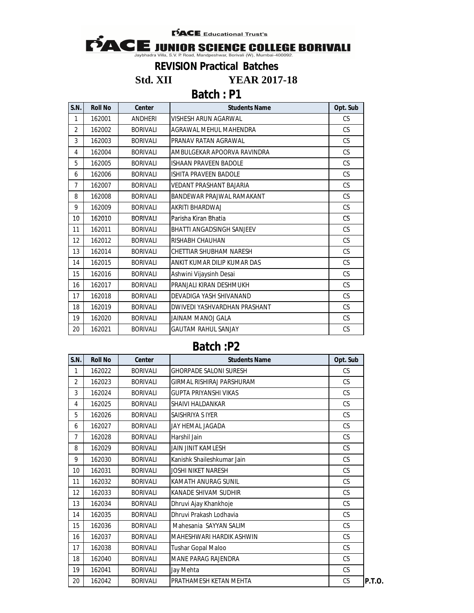**PACE** Educational Trust's



**Std. XII YEAR 2017-18**

**Batch : P1**

| S.N.           | <b>Roll No</b> | <b>Center</b>   | <b>Students Name</b>             | Opt. Sub  |
|----------------|----------------|-----------------|----------------------------------|-----------|
| 1              | 162001         | <b>ANDHERI</b>  | <b>VISHESH ARUN AGARWAL</b>      | <b>CS</b> |
| $\overline{2}$ | 162002         | <b>BORIVALI</b> | AGRAWAL MEHUL MAHENDRA           | <b>CS</b> |
| 3              | 162003         | <b>BORIVALI</b> | PRANAV RATAN AGRAWAL             | <b>CS</b> |
| 4              | 162004         | <b>BORIVALI</b> | AMBULGEKAR APOORVA RAVINDRA      | <b>CS</b> |
| 5              | 162005         | <b>BORIVALI</b> | <b>ISHAAN PRAVEEN BADOLE</b>     | <b>CS</b> |
| 6              | 162006         | <b>BORIVALI</b> | <b>ISHITA PRAVEEN BADOLE</b>     | <b>CS</b> |
| $\overline{7}$ | 162007         | <b>BORIVALI</b> | <b>VEDANT PRASHANT BAJARIA</b>   | CS        |
| 8              | 162008         | <b>BORIVALI</b> | BANDEWAR PRAJWAL RAMAKANT        | <b>CS</b> |
| 9              | 162009         | <b>BORIVALI</b> | AKRITI BHARDWAJ                  | <b>CS</b> |
| 10             | 162010         | <b>BORIVALI</b> | Parisha Kiran Bhatia             | <b>CS</b> |
| 11             | 162011         | <b>BORIVALI</b> | <b>BHATTI ANGADSINGH SANJEEV</b> | <b>CS</b> |
| 12             | 162012         | <b>BORIVALI</b> | <b>RISHABH CHAUHAN</b>           | <b>CS</b> |
| 13             | 162014         | <b>BORIVALI</b> | CHETTIAR SHUBHAM NARESH          | <b>CS</b> |
| 14             | 162015         | <b>BORIVALI</b> | ANKIT KUMAR DILIP KUMAR DAS      | CS        |
| 15             | 162016         | <b>BORIVALI</b> | Ashwini Vijaysinh Desai          | <b>CS</b> |
| 16             | 162017         | <b>BORIVALI</b> | PRANJALI KIRAN DESHMUKH          | <b>CS</b> |
| 17             | 162018         | <b>BORIVALI</b> | DEVADIGA YASH SHIVANAND          | <b>CS</b> |
| 18             | 162019         | <b>BORIVALI</b> | DWIVEDI YASHVARDHAN PRASHANT     | <b>CS</b> |
| 19             | 162020         | <b>BORIVALI</b> | JAINAM MANOJ GALA                | CS        |
| 20             | 162021         | <b>BORIVALI</b> | <b>GAUTAM RAHUL SANJAY</b>       | <b>CS</b> |

| S.N.           | <b>Roll No</b> | Center          | <b>Students Name</b>          | Opt. Sub  |               |
|----------------|----------------|-----------------|-------------------------------|-----------|---------------|
| 1              | 162022         | <b>BORIVALI</b> | <b>GHORPADE SALONI SURESH</b> | <b>CS</b> |               |
| $\overline{2}$ | 162023         | <b>BORIVALI</b> | GIRMAL RISHIRAJ PARSHURAM     | CS        |               |
| 3              | 162024         | <b>BORIVALI</b> | <b>GUPTA PRIYANSHI VIKAS</b>  | <b>CS</b> |               |
| 4              | 162025         | <b>BORIVALI</b> | <b>SHAIVI HALDANKAR</b>       | CS        |               |
| 5              | 162026         | <b>BORIVALI</b> | SAISHRIYA S IYER              | <b>CS</b> |               |
| 6              | 162027         | <b>BORIVALI</b> | JAY HEMAL JAGADA              | <b>CS</b> |               |
| 7              | 162028         | <b>BORIVALI</b> | Harshil Jain                  | <b>CS</b> |               |
| 8              | 162029         | <b>BORIVALI</b> | <b>JAIN JINIT KAMLESH</b>     | <b>CS</b> |               |
| 9              | 162030         | <b>BORIVALI</b> | Kanishk Shaileshkumar Jain    | <b>CS</b> |               |
| 10             | 162031         | <b>BORIVALI</b> | JOSHI NIKET NARESH            | <b>CS</b> |               |
| 11             | 162032         | <b>BORIVALI</b> | KAMATH ANURAG SUNIL           | <b>CS</b> |               |
| 12             | 162033         | <b>BORIVALI</b> | KANADE SHIVAM SUDHIR          | <b>CS</b> |               |
| 13             | 162034         | <b>BORIVALI</b> | Dhruvi Ajay Khankhoje         | <b>CS</b> |               |
| 14             | 162035         | <b>BORIVALI</b> | Dhruvi Prakash Lodhavia       | <b>CS</b> |               |
| 15             | 162036         | <b>BORIVALI</b> | Mahesania SAYYAN SALIM        | <b>CS</b> |               |
| 16             | 162037         | <b>BORIVALI</b> | MAHESHWARI HARDIK ASHWIN      | <b>CS</b> |               |
| 17             | 162038         | <b>BORIVALI</b> | Tushar Gopal Maloo            | <b>CS</b> |               |
| 18             | 162040         | <b>BORIVALI</b> | <b>MANE PARAG RAJENDRA</b>    | <b>CS</b> |               |
| 19             | 162041         | <b>BORIVALI</b> | Jay Mehta                     | CS        |               |
| 20             | 162042         | <b>BORIVALI</b> | PRATHAMESH KETAN MEHTA        | CS        | <b>P.T.O.</b> |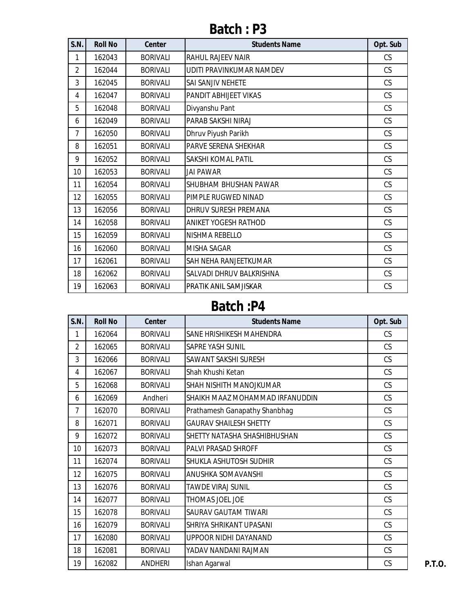| <b>S.N.</b>    | <b>Roll No</b> | <b>Center</b>   | <b>Students Name</b>        | Opt. Sub  |
|----------------|----------------|-----------------|-----------------------------|-----------|
| 1              | 162043         | <b>BORIVALI</b> | <b>RAHUL RAJEEV NAIR</b>    | CS        |
| $\overline{2}$ | 162044         | <b>BORIVALI</b> | UDITI PRAVINKUMAR NAMDEV    | CS        |
| 3              | 162045         | <b>BORIVALI</b> | SAI SANJIV NEHETE           | <b>CS</b> |
| 4              | 162047         | <b>BORIVALI</b> | PANDIT ABHIJEET VIKAS       | CS        |
| 5              | 162048         | <b>BORIVALI</b> | Divyanshu Pant              | CS        |
| 6              | 162049         | <b>BORIVALI</b> | PARAB SAKSHI NIRAJ          | CS        |
| 7              | 162050         | <b>BORIVALI</b> | Dhruv Piyush Parikh         | CS        |
| 8              | 162051         | <b>BORIVALI</b> | PARVE SERENA SHEKHAR        | CS        |
| 9              | 162052         | <b>BORIVALI</b> | SAKSHI KOMAL PATIL          | CS        |
| 10             | 162053         | <b>BORIVALI</b> | <b>JAI PAWAR</b>            | CS        |
| 11             | 162054         | <b>BORIVALI</b> | SHUBHAM BHUSHAN PAWAR       | CS        |
| 12             | 162055         | <b>BORIVALI</b> | PIMPLE RUGWED NINAD         | CS        |
| 13             | 162056         | <b>BORIVALI</b> | DHRUV SURESH PREMANA        | CS        |
| 14             | 162058         | <b>BORIVALI</b> | <b>ANIKET YOGESH RATHOD</b> | <b>CS</b> |
| 15             | 162059         | <b>BORIVALI</b> | NISHMA REBELLO              | CS        |
| 16             | 162060         | <b>BORIVALI</b> | <b>MISHA SAGAR</b>          | CS        |
| 17             | 162061         | <b>BORIVALI</b> | SAH NEHA RANJEETKUMAR       | CS        |
| 18             | 162062         | <b>BORIVALI</b> | SALVADI DHRUV BALKRISHNA    | CS        |
| 19             | 162063         | <b>BORIVALI</b> | PRATIK ANIL SAMJISKAR       | CS        |

| <b>S.N.</b>     | <b>Roll No</b> | <b>Center</b>   | <b>Students Name</b>            | Opt. Sub |
|-----------------|----------------|-----------------|---------------------------------|----------|
| 1               | 162064         | <b>BORIVALI</b> | SANE HRISHIKESH MAHENDRA        | CS       |
| $\overline{2}$  | 162065         | <b>BORIVALI</b> | SAPRE YASH SUNIL                | CS       |
| 3               | 162066         | <b>BORIVALI</b> | SAWANT SAKSHI SURESH            | CS       |
| 4               | 162067         | <b>BORIVALI</b> | Shah Khushi Ketan               | CS       |
| 5               | 162068         | <b>BORIVALI</b> | SHAH NISHITH MANOJKUMAR         | CS       |
| 6               | 162069         | Andheri         | SHAIKH MAAZ MOHAMMAD IRFANUDDIN | CS       |
| 7               | 162070         | <b>BORIVALI</b> | Prathamesh Ganapathy Shanbhag   | CS       |
| 8               | 162071         | <b>BORIVALI</b> | <b>GAURAV SHAILESH SHETTY</b>   | CS       |
| 9               | 162072         | <b>BORIVALI</b> | SHETTY NATASHA SHASHIBHUSHAN    | CS       |
| 10 <sup>°</sup> | 162073         | <b>BORIVALI</b> | <b>PALVI PRASAD SHROFF</b>      | CS       |
| 11              | 162074         | <b>BORIVALI</b> | SHUKLA ASHUTOSH SUDHIR          | CS       |
| 12              | 162075         | <b>BORIVALI</b> | ANUSHKA SOMAVANSHI              | CS       |
| 13              | 162076         | <b>BORIVALI</b> | <b>TAWDE VIRAJ SUNIL</b>        | CS       |
| 14              | 162077         | <b>BORIVALI</b> | THOMAS JOEL JOE                 | CS       |
| 15              | 162078         | <b>BORIVALI</b> | SAURAV GAUTAM TIWARI            | CS       |
| 16              | 162079         | <b>BORIVALI</b> | SHRIYA SHRIKANT UPASANI         | CS       |
| 17              | 162080         | <b>BORIVALI</b> | UPPOOR NIDHI DAYANAND           | CS       |
| 18              | 162081         | <b>BORIVALI</b> | YADAV NANDANI RAJMAN            | CS       |
| 19              | 162082         | <b>ANDHERI</b>  | Ishan Agarwal                   | CS       |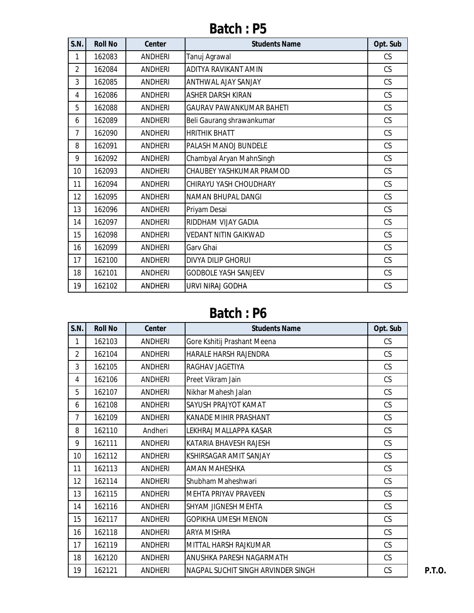| S.N.           | <b>Roll No</b> | <b>Center</b>  | <b>Students Name</b>            | Opt. Sub  |
|----------------|----------------|----------------|---------------------------------|-----------|
| 1              | 162083         | <b>ANDHERI</b> | Tanuj Agrawal                   | CS        |
| $\overline{2}$ | 162084         | <b>ANDHERI</b> | ADITYA RAVIKANT AMIN            | CS        |
| 3              | 162085         | <b>ANDHERI</b> | ANTHWAL AJAY SANJAY             | <b>CS</b> |
| 4              | 162086         | <b>ANDHERI</b> | ASHER DARSH KIRAN               | CS        |
| 5              | 162088         | <b>ANDHERI</b> | <b>GAURAV PAWANKUMAR BAHETI</b> | CS        |
| 6              | 162089         | <b>ANDHERI</b> | Beli Gaurang shrawankumar       | CS        |
| 7              | 162090         | <b>ANDHERI</b> | <b>HRITHIK BHATT</b>            | CS        |
| 8              | 162091         | <b>ANDHERI</b> | PALASH MANOJ BUNDELE            | CS        |
| 9              | 162092         | <b>ANDHERI</b> | Chambyal Aryan MahnSingh        | CS        |
| 10             | 162093         | <b>ANDHERI</b> | CHAUBEY YASHKUMAR PRAMOD        | CS        |
| 11             | 162094         | <b>ANDHERI</b> | CHIRAYU YASH CHOUDHARY          | CS        |
| 12             | 162095         | <b>ANDHERI</b> | <b>NAMAN BHUPAL DANGI</b>       | CS        |
| 13             | 162096         | <b>ANDHERI</b> | Priyam Desai                    | CS        |
| 14             | 162097         | <b>ANDHERI</b> | RIDDHAM VIJAY GADIA             | CS        |
| 15             | 162098         | <b>ANDHERI</b> | <b>VEDANT NITIN GAIKWAD</b>     | CS        |
| 16             | 162099         | <b>ANDHERI</b> | Garv Ghai                       | CS        |
| 17             | 162100         | <b>ANDHERI</b> | <b>DIVYA DILIP GHORUI</b>       | CS        |
| 18             | 162101         | <b>ANDHERI</b> | <b>GODBOLE YASH SANJEEV</b>     | <b>CS</b> |
| 19             | 162102         | <b>ANDHERI</b> | URVI NIRAJ GODHA                | CS        |

| <b>S.N.</b>    | <b>Roll No</b> | Center         | <b>Students Name</b>               | Opt. Sub  |
|----------------|----------------|----------------|------------------------------------|-----------|
| 1              | 162103         | ANDHERI        | Gore Kshitij Prashant Meena        | CS        |
| $\overline{2}$ | 162104         | <b>ANDHERI</b> | HARALE HARSH RAJENDRA              | CS        |
| 3              | 162105         | ANDHERI        | RAGHAV JAGETIYA                    | CS        |
| 4              | 162106         | <b>ANDHERI</b> | Preet Vikram Jain                  | CS        |
| 5              | 162107         | <b>ANDHERI</b> | Nikhar Mahesh Jalan                | CS        |
| 6              | 162108         | <b>ANDHERI</b> | SAYUSH PRAJYOT KAMAT               | CS        |
| 7              | 162109         | <b>ANDHERI</b> | KANADE MIHIR PRASHANT              | CS        |
| 8              | 162110         | Andheri        | LEKHRAJ MALLAPPA KASAR             | <b>CS</b> |
| 9              | 162111         | <b>ANDHERI</b> | KATARIA BHAVESH RAJESH             | CS        |
| 10             | 162112         | <b>ANDHERI</b> | KSHIRSAGAR AMIT SANJAY             | CS        |
| 11             | 162113         | <b>ANDHERI</b> | <b>AMAN MAHESHKA</b>               | CS        |
| 12             | 162114         | ANDHERI        | Shubham Maheshwari                 | <b>CS</b> |
| 13             | 162115         | <b>ANDHERI</b> | <b>MEHTA PRIYAV PRAVEEN</b>        | CS        |
| 14             | 162116         | <b>ANDHERI</b> | SHYAM JIGNESH MEHTA                | CS        |
| 15             | 162117         | <b>ANDHERI</b> | GOPIKHA UMESH MENON                | CS        |
| 16             | 162118         | ANDHERI        | <b>ARYA MISHRA</b>                 | CS        |
| 17             | 162119         | <b>ANDHERI</b> | MITTAL HARSH RAJKUMAR              | CS        |
| 18             | 162120         | ANDHERI        | ANUSHKA PARESH NAGARMATH           | CS        |
| 19             | 162121         | ANDHERI        | NAGPAL SUCHIT SINGH ARVINDER SINGH | CS        |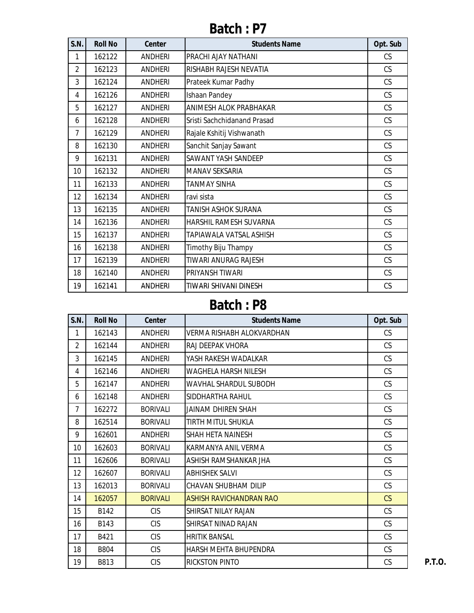| S.N.           | <b>Roll No</b> | <b>Center</b>  | <b>Students Name</b>          | Opt. Sub  |
|----------------|----------------|----------------|-------------------------------|-----------|
| 1              | 162122         | <b>ANDHERI</b> | PRACHI AJAY NATHANI           | CS        |
| $\overline{2}$ | 162123         | <b>ANDHERI</b> | RISHABH RAJESH NEVATIA        | CS        |
| 3              | 162124         | <b>ANDHERI</b> | Prateek Kumar Padhy           | <b>CS</b> |
| 4              | 162126         | <b>ANDHERI</b> | Ishaan Pandey                 | CS        |
| 5              | 162127         | <b>ANDHERI</b> | ANIMESH ALOK PRABHAKAR        | CS        |
| 6              | 162128         | <b>ANDHERI</b> | Sristi Sachchidanand Prasad   | CS        |
| 7              | 162129         | <b>ANDHERI</b> | Rajale Kshitij Vishwanath     | CS        |
| 8              | 162130         | <b>ANDHERI</b> | Sanchit Sanjay Sawant         | CS        |
| 9              | 162131         | <b>ANDHERI</b> | SAWANT YASH SANDEEP           | CS        |
| 10             | 162132         | <b>ANDHERI</b> | <b>MANAV SEKSARIA</b>         | CS        |
| 11             | 162133         | <b>ANDHERI</b> | <b>TANMAY SINHA</b>           | CS        |
| 12             | 162134         | <b>ANDHERI</b> | ravi sista                    | CS        |
| 13             | 162135         | <b>ANDHERI</b> | <b>TANISH ASHOK SURANA</b>    | CS        |
| 14             | 162136         | <b>ANDHERI</b> | <b>HARSHIL RAMESH SUVARNA</b> | CS        |
| 15             | 162137         | <b>ANDHERI</b> | TAPIAWALA VATSAL ASHISH       | CS        |
| 16             | 162138         | <b>ANDHERI</b> | Timothy Biju Thampy           | CS        |
| 17             | 162139         | <b>ANDHERI</b> | TIWARI ANURAG RAJESH          | CS        |
| 18             | 162140         | <b>ANDHERI</b> | PRIYANSH TIWARI               | CS        |
| 19             | 162141         | <b>ANDHERI</b> | TIWARI SHIVANI DINESH         | CS        |

| <b>S.N.</b>    | <b>Roll No</b> | <b>Center</b>   | <b>Students Name</b>         | Opt. Sub |
|----------------|----------------|-----------------|------------------------------|----------|
| 1              | 162143         | <b>ANDHERI</b>  | VERMA RISHABH ALOKVARDHAN    | CS       |
| $\overline{2}$ | 162144         | ANDHERI         | RAJ DEEPAK VHORA             | CS       |
| 3              | 162145         | <b>ANDHERI</b>  | YASH RAKESH WADALKAR         | CS.      |
| 4              | 162146         | ANDHERI         | <b>WAGHELA HARSH NILESH</b>  | CS       |
| 5              | 162147         | ANDHERI         | WAVHAL SHARDUL SUBODH        | CS       |
| 6              | 162148         | <b>ANDHERI</b>  | SIDDHARTHA RAHUL             | CS.      |
| $\overline{7}$ | 162272         | <b>BORIVALI</b> | JAINAM DHIREN SHAH           | CS       |
| 8              | 162514         | <b>BORIVALI</b> | TIRTH MITUL SHUKLA           | CS       |
| 9              | 162601         | <b>ANDHERI</b>  | <b>SHAH HETA NAINESH</b>     | CS       |
| 10             | 162603         | <b>BORIVALI</b> | KARMANYA ANIL VERMA          | CS.      |
| 11             | 162606         | <b>BORIVALI</b> | ASHISH RAMSHANKAR JHA        | CS       |
| 12             | 162607         | <b>BORIVALI</b> | <b>ABHISHEK SALVI</b>        | CS       |
| 13             | 162013         | <b>BORIVALI</b> | CHAVAN SHUBHAM DILIP         | CS       |
| 14             | 162057         | <b>BORIVALI</b> | ASHISH RAVICHANDRAN RAO      | CS       |
| 15             | B142           | <b>CIS</b>      | SHIRSAT NILAY RAJAN          | CS       |
| 16             | B143           | <b>CIS</b>      | SHIRSAT NINAD RAJAN          | CS.      |
| 17             | B421           | <b>CIS</b>      | <b>HRITIK BANSAL</b>         | CS       |
| 18             | <b>B804</b>    | <b>CIS</b>      | <b>HARSH MEHTA BHUPENDRA</b> | CS       |
| 19             | B813           | <b>CIS</b>      | <b>RICKSTON PINTO</b>        | CS       |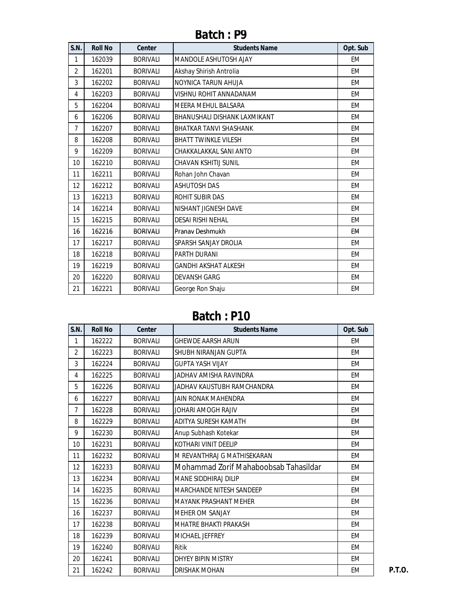| S.N.           | <b>Roll No</b> | <b>Center</b>   | <b>Students Name</b>          | Opt. Sub  |
|----------------|----------------|-----------------|-------------------------------|-----------|
| 1              | 162039         | <b>BORIVALI</b> | <b>MANDOLE ASHUTOSH AJAY</b>  | <b>EM</b> |
| $\overline{2}$ | 162201         | <b>BORIVALI</b> | Akshay Shirish Antrolia       | EM        |
| 3              | 162202         | <b>BORIVALI</b> | NOYNICA TARUN AHUJA           | <b>EM</b> |
| 4              | 162203         | <b>BORIVALI</b> | VISHNU ROHIT ANNADANAM        | <b>EM</b> |
| 5              | 162204         | <b>BORIVALI</b> | <b>MEERA MEHUL BALSARA</b>    | <b>EM</b> |
| 6              | 162206         | <b>BORIVALI</b> | BHANUSHALI DISHANK LAXMIKANT  | <b>EM</b> |
| $\overline{7}$ | 162207         | <b>BORIVALI</b> | <b>BHATKAR TANVI SHASHANK</b> | <b>EM</b> |
| 8              | 162208         | <b>BORIVALI</b> | <b>BHATT TWINKLE VILESH</b>   | <b>EM</b> |
| 9              | 162209         | <b>BORIVALI</b> | CHAKKALAKKAL SANI ANTO        | EM        |
| 10             | 162210         | <b>BORIVALI</b> | CHAVAN KSHITIJ SUNIL          | <b>EM</b> |
| 11             | 162211         | <b>BORIVALI</b> | Rohan John Chavan             | <b>EM</b> |
| 12             | 162212         | <b>BORIVALI</b> | <b>ASHUTOSH DAS</b>           | EM        |
| 13             | 162213         | <b>BORIVALI</b> | ROHIT SUBIR DAS               | <b>EM</b> |
| 14             | 162214         | <b>BORIVALI</b> | <b>NISHANT JIGNESH DAVE</b>   | <b>EM</b> |
| 15             | 162215         | <b>BORIVALI</b> | <b>DESAI RISHI NEHAL</b>      | <b>EM</b> |
| 16             | 162216         | <b>BORIVALI</b> | Pranav Deshmukh               | EM        |
| 17             | 162217         | <b>BORIVALI</b> | SPARSH SANJAY DROLIA          | <b>EM</b> |
| 18             | 162218         | <b>BORIVALI</b> | PARTH DURANI                  | EM        |
| 19             | 162219         | <b>BORIVALI</b> | <b>GANDHI AKSHAT ALKESH</b>   | EM        |
| 20             | 162220         | <b>BORIVALI</b> | <b>DEVANSH GARG</b>           | EM        |
| 21             | 162221         | <b>BORIVALI</b> | George Ron Shaju              | <b>EM</b> |

| S.N.            | <b>Roll No</b> | <b>Center</b>   | <b>Students Name</b>                  | Opt. Sub  |
|-----------------|----------------|-----------------|---------------------------------------|-----------|
| 1               | 162222         | <b>BORIVALI</b> | <b>GHEWDE AARSH ARUN</b>              | EM        |
| $\overline{2}$  | 162223         | <b>BORIVALI</b> | SHUBH NIRANJAN GUPTA                  | <b>EM</b> |
| 3               | 162224         | <b>BORIVALI</b> | <b>GUPTA YASH VIJAY</b>               | EM        |
| 4               | 162225         | <b>BORIVALI</b> | JADHAV AMISHA RAVINDRA                | EM        |
| 5               | 162226         | <b>BORIVALI</b> | JADHAV KAUSTUBH RAMCHANDRA            | EM        |
| 6               | 162227         | <b>BORIVALI</b> | JAIN RONAK MAHENDRA                   | EM        |
| $\overline{7}$  | 162228         | <b>BORIVALI</b> | JOHARI AMOGH RAJIV                    | <b>EM</b> |
| 8               | 162229         | <b>BORIVALI</b> | ADITYA SURESH KAMATH                  | EM        |
| 9               | 162230         | <b>BORIVALI</b> | Anup Subhash Kotekar                  | EM        |
| 10 <sup>°</sup> | 162231         | <b>BORIVALI</b> | KOTHARI VINIT DEELIP                  | <b>EM</b> |
| 11              | 162232         | <b>BORIVALI</b> | M REVANTHRAJ G MATHISEKARAN           | EM        |
| 12              | 162233         | <b>BORIVALI</b> | Mohammad Zorif Mahaboobsab Tahasildar | <b>EM</b> |
| 13              | 162234         | <b>BORIVALI</b> | <b>MANE SIDDHIRAJ DILIP</b>           | EM        |
| 14              | 162235         | <b>BORIVALI</b> | <b>MARCHANDE NITESH SANDEEP</b>       | <b>EM</b> |
| 15              | 162236         | <b>BORIVALI</b> | <b>MAYANK PRASHANT MEHER</b>          | EM        |
| 16              | 162237         | <b>BORIVALI</b> | <b>MEHER OM SANJAY</b>                | EM        |
| 17              | 162238         | <b>BORIVALI</b> | <b>MHATRE BHAKTI PRAKASH</b>          | EM        |
| 18              | 162239         | <b>BORIVALI</b> | <b>MICHAEL JEFFREY</b>                | EM        |
| 19              | 162240         | <b>BORIVALI</b> | Ritik                                 | EM        |
| 20              | 162241         | <b>BORIVALI</b> | DHYEY BIPIN MISTRY                    | EM        |
| 21              | 162242         | <b>BORIVALI</b> | DRISHAK MOHAN                         | EM        |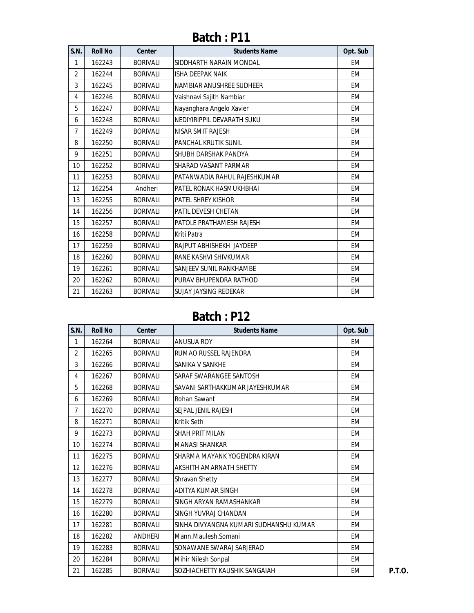| S.N.           | <b>Roll No</b> | <b>Center</b>   | <b>Students Name</b>         | Opt. Sub  |
|----------------|----------------|-----------------|------------------------------|-----------|
| 1              | 162243         | <b>BORIVALI</b> | SIDDHARTH NARAIN MONDAL      | EM        |
| $\overline{2}$ | 162244         | <b>BORIVALI</b> | <b>ISHA DEEPAK NAIK</b>      | EM        |
| 3              | 162245         | <b>BORIVALI</b> | NAMBIAR ANUSHREE SUDHEER     | EM        |
| 4              | 162246         | <b>BORIVALI</b> | Vaishnavi Sajith Nambiar     | EM        |
| 5              | 162247         | <b>BORIVALI</b> | Nayanghara Angelo Xavier     | EM        |
| 6              | 162248         | <b>BORIVALI</b> | NEDIYIRIPPIL DEVARATH SUKU   | EM        |
| $\overline{7}$ | 162249         | <b>BORIVALI</b> | NISAR SMIT RAJESH            | EM        |
| 8              | 162250         | <b>BORIVALI</b> | <b>PANCHAL KRUTIK SUNIL</b>  | EM        |
| 9              | 162251         | <b>BORIVALI</b> | SHUBH DARSHAK PANDYA         | EM        |
| 10             | 162252         | <b>BORIVALI</b> | SHARAD VASANT PARMAR         | EM        |
| 11             | 162253         | <b>BORIVALI</b> | PATANWADIA RAHUL RAJESHKUMAR | EM        |
| 12             | 162254         | Andheri         | PATEL RONAK HASMUKHBHAI      | EM        |
| 13             | 162255         | <b>BORIVALI</b> | <b>PATEL SHREY KISHOR</b>    | EM        |
| 14             | 162256         | <b>BORIVALI</b> | PATIL DEVESH CHETAN          | EM        |
| 15             | 162257         | <b>BORIVALI</b> | PATOLE PRATHAMESH RAJESH     | EM        |
| 16             | 162258         | <b>BORIVALI</b> | Kriti Patra                  | EM        |
| 17             | 162259         | <b>BORIVALI</b> | RAJPUT ABHISHEKH JAYDEEP     | EM        |
| 18             | 162260         | <b>BORIVALI</b> | RANE KASHVI SHIVKUMAR        | EM        |
| 19             | 162261         | <b>BORIVALI</b> | SANJEEV SUNIL RANKHAMBE      | <b>EM</b> |
| 20             | 162262         | <b>BORIVALI</b> | PURAV BHUPENDRA RATHOD       | EM        |
| 21             | 162263         | <b>BORIVALI</b> | <b>SUJAY JAYSING REDEKAR</b> | <b>EM</b> |

| S.N.           | <b>Roll No</b> | <b>Center</b>   | <b>Students Name</b>                   | Opt. Sub  |
|----------------|----------------|-----------------|----------------------------------------|-----------|
| 1              | 162264         | <b>BORIVALI</b> | <b>ANUSUA ROY</b>                      | <b>EM</b> |
| $\overline{2}$ | 162265         | <b>BORIVALI</b> | RUMAO RUSSEL RAJENDRA                  | <b>EM</b> |
| 3              | 162266         | <b>BORIVALI</b> | SANIKA V SANKHE                        | EM        |
| 4              | 162267         | <b>BORIVALI</b> | SARAF SWARANGEE SANTOSH                | <b>EM</b> |
| 5              | 162268         | <b>BORIVALI</b> | SAVANI SARTHAKKUMAR JAYESHKUMAR        | <b>EM</b> |
| 6              | 162269         | <b>BORIVALI</b> | Rohan Sawant                           | <b>EM</b> |
| $\overline{7}$ | 162270         | <b>BORIVALI</b> | SEJPAL JENIL RAJESH                    | EM        |
| 8              | 162271         | <b>BORIVALI</b> | <b>Kritik Seth</b>                     | EM        |
| 9              | 162273         | <b>BORIVALI</b> | SHAH PRIT MILAN                        | EM        |
| 10             | 162274         | <b>BORIVALI</b> | <b>MANASI SHANKAR</b>                  | EM        |
| 11             | 162275         | <b>BORIVALI</b> | SHARMA MAYANK YOGENDRA KIRAN           | EM        |
| 12             | 162276         | <b>BORIVALI</b> | <b>AKSHITH AMARNATH SHETTY</b>         | EM        |
| 13             | 162277         | <b>BORIVALI</b> | <b>Shravan Shetty</b>                  | <b>EM</b> |
| 14             | 162278         | <b>BORIVALI</b> | ADITYA KUMAR SINGH                     | EM        |
| 15             | 162279         | <b>BORIVALI</b> | SINGH ARYAN RAMASHANKAR                | EM        |
| 16             | 162280         | <b>BORIVALI</b> | SINGH YUVRAJ CHANDAN                   | EM        |
| 17             | 162281         | <b>BORIVALI</b> | SINHA DIVYANGNA KUMARI SUDHANSHU KUMAR | EM        |
| 18             | 162282         | ANDHERI         | Mann.Maulesh.Somani                    | EM        |
| 19             | 162283         | <b>BORIVALI</b> | SONAWANE SWARAJ SARJERAO               | EM        |
| 20             | 162284         | <b>BORIVALI</b> | Mihir Nilesh Sonpal                    | EM        |
| 21             | 162285         | <b>BORIVALI</b> | SOZHIACHETTY KAUSHIK SANGAIAH          | EM        |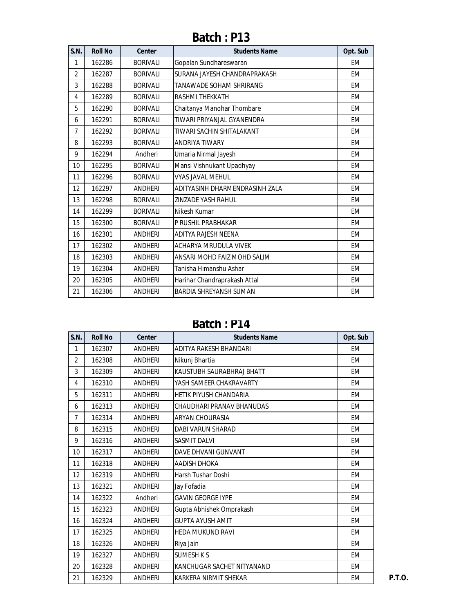| S.N.           | <b>Roll No</b> | <b>Center</b>   | <b>Students Name</b>           | Opt. Sub  |
|----------------|----------------|-----------------|--------------------------------|-----------|
| 1              | 162286         | <b>BORIVALI</b> | Gopalan Sundhareswaran         | <b>EM</b> |
| $\overline{2}$ | 162287         | <b>BORIVALI</b> | SURANA JAYESH CHANDRAPRAKASH   | EM        |
| 3              | 162288         | <b>BORIVALI</b> | TANAWADE SOHAM SHRIRANG        | EM        |
| 4              | 162289         | <b>BORIVALI</b> | <b>RASHMI THEKKATH</b>         | EM        |
| 5              | 162290         | <b>BORIVALI</b> | Chaitanya Manohar Thombare     | <b>EM</b> |
| 6              | 162291         | <b>BORIVALI</b> | TIWARI PRIYANJAI GYANENDRA     | EM        |
| $\overline{7}$ | 162292         | <b>BORIVALI</b> | TIWARI SACHIN SHITALAKANT      | EM        |
| 8              | 162293         | <b>BORIVALI</b> | <b>ANDRIYA TIWARY</b>          | EM        |
| 9              | 162294         | Andheri         | Umaria Nirmal Jayesh           | EM        |
| 10             | 162295         | <b>BORIVALI</b> | Mansi Vishnukant Upadhyay      | EM        |
| 11             | 162296         | <b>BORIVALI</b> | <b>VYAS JAVAL MEHUL</b>        | EM        |
| 12             | 162297         | <b>ANDHERI</b>  | ADITYASINH DHARMENDRASINH ZALA | EM        |
| 13             | 162298         | <b>BORIVALI</b> | ZINZADE YASH RAHUL             | EM        |
| 14             | 162299         | <b>BORIVALI</b> | Nikesh Kumar                   | EM        |
| 15             | 162300         | <b>BORIVALI</b> | P RUSHIL PRABHAKAR             | EM        |
| 16             | 162301         | <b>ANDHERI</b>  | ADITYA RAJESH NEENA            | EM        |
| 17             | 162302         | <b>ANDHERI</b>  | ACHARYA MRUDULA VIVEK          | EM        |
| 18             | 162303         | <b>ANDHERI</b>  | ANSARI MOHD FAIZ MOHD SALIM    | <b>EM</b> |
| 19             | 162304         | ANDHERI         | Tanisha Himanshu Ashar         | EM        |
| 20             | 162305         | <b>ANDHERI</b>  | Harihar Chandraprakash Attal   | EM        |
| 21             | 162306         | <b>ANDHERI</b>  | <b>BARDIA SHREYANSH SUMAN</b>  | EM        |

**Batch : P14**

| S.N.           | <b>Roll No</b> | <b>Center</b>  | <b>Students Name</b>          | Opt. Sub  |
|----------------|----------------|----------------|-------------------------------|-----------|
| 1              | 162307         | ANDHERI        | ADITYA RAKESH BHANDARI        | EM        |
| $\overline{2}$ | 162308         | <b>ANDHERI</b> | Nikunj Bhartia                | EM        |
| 3              | 162309         | <b>ANDHERI</b> | KAUSTUBH SAURABHRAJ BHATT     | <b>EM</b> |
| 4              | 162310         | <b>ANDHERI</b> | YASH SAMEER CHAKRAVARTY       | <b>EM</b> |
| 5              | 162311         | ANDHERI        | <b>HETIK PIYUSH CHANDARIA</b> | EM        |
| 6              | 162313         | ANDHERI        | CHAUDHARI PRANAV BHANUDAS     | EM        |
| $\overline{7}$ | 162314         | <b>ANDHERI</b> | <b>ARYAN CHOURASIA</b>        | <b>EM</b> |
| 8              | 162315         | <b>ANDHERI</b> | <b>DABI VARUN SHARAD</b>      | <b>EM</b> |
| 9              | 162316         | ANDHERI        | <b>SASMIT DALVI</b>           | EM        |
| 10             | 162317         | <b>ANDHERI</b> | DAVE DHVANI GUNVANT           | <b>EM</b> |
| 11             | 162318         | ANDHERI        | AADISH DHOKA                  | EM        |
| 12             | 162319         | <b>ANDHERI</b> | Harsh Tushar Doshi            | EM        |
| 13             | 162321         | <b>ANDHERI</b> | Jay Fofadia                   | EM        |
| 14             | 162322         | Andheri        | <b>GAVIN GEORGE IYPE</b>      | <b>EM</b> |
| 15             | 162323         | <b>ANDHERI</b> | Gupta Abhishek Omprakash      | <b>EM</b> |
| 16             | 162324         | <b>ANDHERI</b> | <b>GUPTA AYUSH AMIT</b>       | EM        |
| 17             | 162325         | <b>ANDHERI</b> | <b>HEDA MUKUND RAVI</b>       | <b>EM</b> |
| 18             | 162326         | <b>ANDHERI</b> | Riya Jain                     | EM        |
| 19             | 162327         | <b>ANDHERI</b> | <b>SUMESH K S</b>             | EM        |
| 20             | 162328         | <b>ANDHERI</b> | KANCHUGAR SACHET NITYANAND    | <b>EM</b> |
| 21             | 162329         | <b>ANDHERI</b> | KARKERA NIRMIT SHEKAR         | EM        |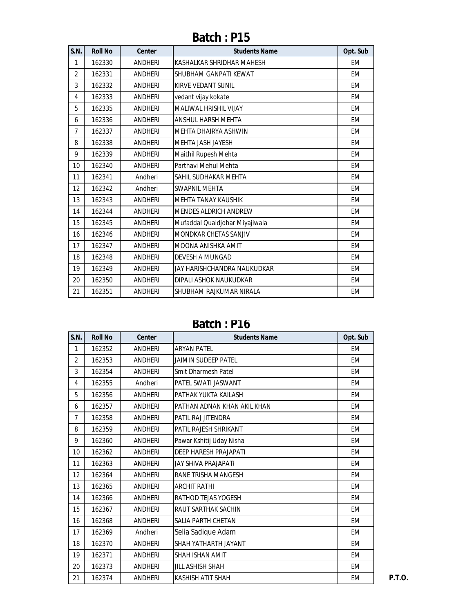| S.N.           | <b>Roll No</b> | <b>Center</b>  | <b>Students Name</b>           | Opt. Sub  |
|----------------|----------------|----------------|--------------------------------|-----------|
| 1              | 162330         | ANDHERI        | KASHALKAR SHRIDHAR MAHESH      | EM        |
| $\overline{2}$ | 162331         | ANDHERI        | SHUBHAM GANPATI KEWAT          | EM        |
| 3              | 162332         | <b>ANDHERI</b> | KIRVE VEDANT SUNIL             | <b>EM</b> |
| 4              | 162333         | <b>ANDHERI</b> | vedant vijay kokate            | <b>EM</b> |
| 5              | 162335         | <b>ANDHERI</b> | MALIWAL HRISHIL VIJAY          | EM        |
| 6              | 162336         | <b>ANDHERI</b> | <b>ANSHUL HARSH MEHTA</b>      | EM        |
| $\overline{7}$ | 162337         | <b>ANDHERI</b> | MEHTA DHAIRYA ASHWIN           | EM        |
| 8              | 162338         | <b>ANDHERI</b> | MEHTA JASH JAYESH              | <b>EM</b> |
| 9              | 162339         | <b>ANDHERI</b> | Maithil Rupesh Mehta           | EM        |
| 10             | 162340         | <b>ANDHERI</b> | Parthavi Mehul Mehta           | EM        |
| 11             | 162341         | Andheri        | SAHIL SUDHAKAR MEHTA           | EM        |
| 12             | 162342         | Andheri        | <b>SWAPNIL MEHTA</b>           | EM        |
| 13             | 162343         | <b>ANDHERI</b> | <b>MEHTA TANAY KAUSHIK</b>     | EM        |
| 14             | 162344         | <b>ANDHERI</b> | <b>MENDES ALDRICH ANDREW</b>   | EM        |
| 15             | 162345         | <b>ANDHERI</b> | Mufaddal Quaidjohar Miyajiwala | EM        |
| 16             | 162346         | <b>ANDHERI</b> | <b>MONDKAR CHETAS SANJIV</b>   | EM        |
| 17             | 162347         | <b>ANDHERI</b> | MOONA ANISHKA AMIT             | EM        |
| 18             | 162348         | <b>ANDHERI</b> | <b>DEVESH A MUNGAD</b>         | EM        |
| 19             | 162349         | <b>ANDHERI</b> | JAY HARISHCHANDRA NAUKUDKAR    | EM        |
| 20             | 162350         | <b>ANDHERI</b> | DIPALI ASHOK NAUKUDKAR         | <b>EM</b> |
| 21             | 162351         | <b>ANDHERI</b> | SHUBHAM RAJKUMAR NIRALA        | EM        |

**Batch : P16**

| <b>S.N.</b>    | <b>Roll No</b> | <b>Center</b>  | <b>Students Name</b>        | Opt. Sub  |
|----------------|----------------|----------------|-----------------------------|-----------|
| 1              | 162352         | <b>ANDHERI</b> | <b>ARYAN PATEL</b>          | EM        |
| 2              | 162353         | <b>ANDHERI</b> | JAIMIN SUDEEP PATEL         | EM        |
| 3              | 162354         | <b>ANDHERI</b> | Smit Dharmesh Patel         | <b>EM</b> |
| 4              | 162355         | Andheri        | PATEL SWATI JASWANT         | EM        |
| 5              | 162356         | <b>ANDHERI</b> | PATHAK YUKTA KAILASH        | <b>EM</b> |
| 6              | 162357         | <b>ANDHERI</b> | PATHAN ADNAN KHAN AKIL KHAN | EM        |
| $\overline{7}$ | 162358         | <b>ANDHERI</b> | PATIL RAJ JITENDRA          | <b>EM</b> |
| 8              | 162359         | <b>ANDHERI</b> | PATIL RAJESH SHRIKANT       | EM        |
| 9              | 162360         | <b>ANDHERI</b> | Pawar Kshitij Uday Nisha    | EM        |
| 10             | 162362         | <b>ANDHERI</b> | DEEP HARESH PRAJAPATI       | <b>EM</b> |
| 11             | 162363         | <b>ANDHERI</b> | JAY SHIVA PRAJAPATI         | EM        |
| 12             | 162364         | <b>ANDHERI</b> | RANE TRISHA MANGESH         | EM        |
| 13             | 162365         | <b>ANDHERI</b> | <b>ARCHIT RATHI</b>         | EM        |
| 14             | 162366         | <b>ANDHERI</b> | RATHOD TEJAS YOGESH         | <b>EM</b> |
| 15             | 162367         | <b>ANDHERI</b> | RAUT SARTHAK SACHIN         | <b>EM</b> |
| 16             | 162368         | <b>ANDHERI</b> | SALIA PARTH CHETAN          | EM        |
| 17             | 162369         | Andheri        | Selia Sadique Adam          | <b>EM</b> |
| 18             | 162370         | <b>ANDHERI</b> | SHAH YATHARTH JAYANT        | EM        |
| 19             | 162371         | <b>ANDHERI</b> | SHAH ISHAN AMIT             | EM        |
| 20             | 162373         | <b>ANDHERI</b> | JILL ASHISH SHAH            | <b>EM</b> |
| 21             | 162374         | <b>ANDHERI</b> | KASHISH ATIT SHAH           | EM        |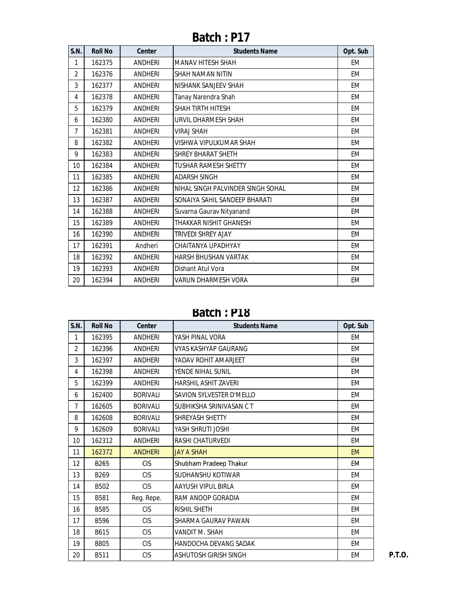| S.N.           | <b>Roll No</b> | <b>Center</b>  | <b>Students Name</b>              | Opt. Sub  |
|----------------|----------------|----------------|-----------------------------------|-----------|
| 1              | 162375         | <b>ANDHERI</b> | <b>MANAV HITESH SHAH</b>          | EM        |
| $\overline{2}$ | 162376         | <b>ANDHERI</b> | <b>SHAH NAMAN NITIN</b>           | EM        |
| 3              | 162377         | <b>ANDHERI</b> | NISHANK SANJEEV SHAH              | EM        |
| 4              | 162378         | <b>ANDHERI</b> | Tanay Narendra Shah               | EM        |
| 5              | 162379         | <b>ANDHERI</b> | <b>SHAH TIRTH HITESH</b>          | EM        |
| 6              | 162380         | <b>ANDHERI</b> | URVIL DHARMESH SHAH               | EM        |
| 7              | 162381         | <b>ANDHERI</b> | <b>VIRAJ SHAH</b>                 | <b>EM</b> |
| 8              | 162382         | <b>ANDHERI</b> | VISHWA VIPULKUMAR SHAH            | EM        |
| 9              | 162383         | <b>ANDHERI</b> | <b>SHREY BHARAT SHETH</b>         | <b>EM</b> |
| 10             | 162384         | <b>ANDHERI</b> | <b>TUSHAR RAMESH SHETTY</b>       | EM        |
| 11             | 162385         | <b>ANDHERI</b> | <b>ADARSH SINGH</b>               | <b>EM</b> |
| 12             | 162386         | <b>ANDHERI</b> | NIHAL SINGH PALVINDER SINGH SOHAL | EM        |
| 13             | 162387         | <b>ANDHERI</b> | SONAIYA SAHIL SANDEEP BHARATI     | EM        |
| 14             | 162388         | <b>ANDHERI</b> | Suvarna Gaurav Nityanand          | EM        |
| 15             | 162389         | <b>ANDHERI</b> | THAKKAR NISHIT GHANESH            | EM        |
| 16             | 162390         | ANDHERI        | TRIVEDI SHREY AJAY                | EM        |
| 17             | 162391         | Andheri        | CHAITANYA UPADHYAY                | EM        |
| 18             | 162392         | <b>ANDHERI</b> | <b>HARSH BHUSHAN VARTAK</b>       | EM        |
| 19             | 162393         | <b>ANDHERI</b> | Dishant Atul Vora                 | EM        |
| 20             | 162394         | <b>ANDHERI</b> | VARUN DHARMESH VORA               | EM        |

**Batch : P18**

| S.N.           | <b>Roll No</b>   | <b>Center</b>   | <b>Students Name</b>         | Opt. Sub  |
|----------------|------------------|-----------------|------------------------------|-----------|
| $\mathbf{1}$   | 162395           | <b>ANDHERI</b>  | YASH PINAL VORA              | EM        |
| $\overline{2}$ | 162396           | <b>ANDHERI</b>  | VYAS KASHYAP GAURANG         | EM        |
| 3              | 162397           | <b>ANDHERI</b>  | YADAV ROHIT AMARJEET         | EM        |
| 4              | 162398           | <b>ANDHERI</b>  | YENDE NIHAL SUNIL            | EM        |
| 5              | 162399           | <b>ANDHERI</b>  | <b>HARSHIL ASHIT ZAVERI</b>  | EM        |
| 6              | 162400           | <b>BORIVALI</b> | SAVION SYLVESTER D'MELLO     | EM        |
| $\overline{7}$ | 162605           | <b>BORIVALI</b> | SUBHIKSHA SRINIVASAN C T     | EM        |
| 8              | 162608           | <b>BORIVALI</b> | <b>SHREYASH SHETTY</b>       | EM        |
| 9              | 162609           | <b>BORIVALI</b> | YASH SHRUTI JOSHI            | EM        |
| 10             | 162312           | <b>ANDHERI</b>  | <b>RASHI CHATURVEDI</b>      | EM        |
| 11             | 162372           | <b>ANDHERI</b>  | <b>JAY A SHAH</b>            | <b>EM</b> |
| 12             | B265             | <b>CIS</b>      | Shubham Pradeep Thakur       | EM        |
| 13             | B <sub>269</sub> | <b>CIS</b>      | <b>SUDHANSHU KOTIWAR</b>     | EM        |
| 14             | B502             | <b>CIS</b>      | AAYUSH VIPUL BIRLA           | EM        |
| 15             | B581             | Reg. Repe.      | RAM ANOOP GORADIA            | EM        |
| 16             | <b>B585</b>      | <b>CIS</b>      | <b>RISHIL SHETH</b>          | EM        |
| 17             | B596             | <b>CIS</b>      | SHARMA GAURAV PAWAN          | EM        |
| 18             | B615             | <b>CIS</b>      | VANDIT M. SHAH               | EM        |
| 19             | B805             | <b>CIS</b>      | <b>HANDOCHA DEVANG SADAK</b> | <b>EM</b> |
| 20             | B511             | <b>CIS</b>      | <b>ASHUTOSH GIRISH SINGH</b> | EM        |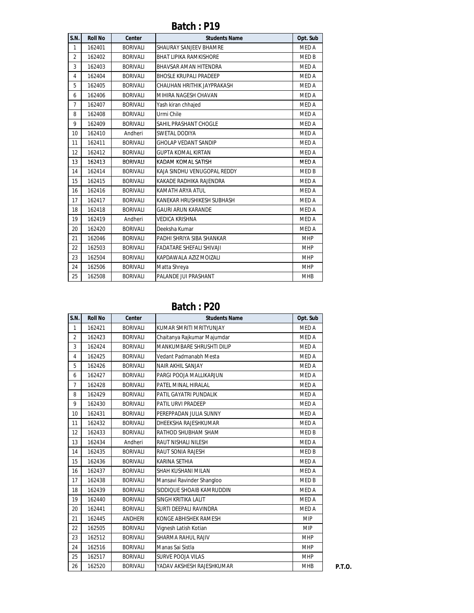| S.N.           | <b>Roll No</b> | <b>Center</b>   | <b>Students Name</b>            | Opt. Sub     |
|----------------|----------------|-----------------|---------------------------------|--------------|
| $\mathbf{1}$   | 162401         | <b>BORIVALI</b> | <b>SHAURAY SANJEEV BHAMRE</b>   | <b>MED A</b> |
| $\overline{2}$ | 162402         | <b>BORIVALI</b> | <b>BHAT LIPIKA RAMKISHORE</b>   | MED B        |
| 3              | 162403         | <b>BORIVALI</b> | BHAVSAR AMAN HITENDRA           | <b>MEDA</b>  |
| $\overline{4}$ | 162404         | <b>BORIVALI</b> | <b>BHOSLE KRUPALI PRADEEP</b>   | <b>MEDA</b>  |
| 5              | 162405         | <b>BORIVALI</b> | CHAUHAN HRITHIK JAYPRAKASH      | <b>MEDA</b>  |
| 6              | 162406         | <b>BORIVALI</b> | MIHIRA NAGESH CHAVAN            | <b>MEDA</b>  |
| $\overline{7}$ | 162407         | <b>BORIVALI</b> | Yash kiran chhajed              | <b>MEDA</b>  |
| 8              | 162408         | <b>BORIVALI</b> | Urmi Chile                      | <b>MEDA</b>  |
| 9              | 162409         | <b>BORIVALI</b> | SAHIL PRASHANT CHOGLE           | <b>MEDA</b>  |
| 10             | 162410         | Andheri         | SWETAL DODIYA                   | <b>MEDA</b>  |
| 11             | 162411         | <b>BORIVALI</b> | <b>GHOLAP VEDANT SANDIP</b>     | <b>MEDA</b>  |
| 12             | 162412         | <b>BORIVALI</b> | <b>GUPTA KOMAL KIRTAN</b>       | <b>MEDA</b>  |
| 13             | 162413         | <b>BORIVALI</b> | KADAM KOMAL SATISH              | <b>MED A</b> |
| 14             | 162414         | <b>BORIVALI</b> | KAJA SINDHU VENUGOPAL REDDY     | MED B        |
| 15             | 162415         | <b>BORIVALI</b> | KAKADE RADHIKA RAJENDRA         | MED A        |
| 16             | 162416         | <b>BORIVALI</b> | KAMATH ARYA ATUL                | <b>MEDA</b>  |
| 17             | 162417         | <b>BORIVALI</b> | KANEKAR HRUSHIKESH SUBHASH      | <b>MEDA</b>  |
| 18             | 162418         | <b>BORIVALI</b> | <b>GAURI ARUN KARANDE</b>       | <b>MEDA</b>  |
| 19             | 162419         | Andheri         | <b>VEDICA KRISHNA</b>           | <b>MEDA</b>  |
| 20             | 162420         | <b>BORIVALI</b> | Deeksha Kumar                   | <b>MEDA</b>  |
| 21             | 162046         | <b>BORIVALI</b> | PADHI SHRIYA SIBA SHANKAR       | <b>MHP</b>   |
| 22             | 162503         | <b>BORIVALI</b> | <b>FADATARE SHEFALI SHIVAJI</b> | <b>MHP</b>   |
| 23             | 162504         | <b>BORIVALI</b> | KAPDAWALA AZIZ MOIZALI          | <b>MHP</b>   |
| 24             | 162506         | <b>BORIVALI</b> | Matta Shreya                    | <b>MHP</b>   |
| 25             | 162508         | <b>BORIVALI</b> | PALANDE JUI PRASHANT            | <b>MHB</b>   |

| S.N.           | <b>Roll No</b> | Center          | <b>Students Name</b>        | Opt. Sub    |
|----------------|----------------|-----------------|-----------------------------|-------------|
| $\mathbf{1}$   | 162421         | <b>BORIVALI</b> | KUMAR SMRITI MRITYUNJAY     | <b>MEDA</b> |
| $\overline{2}$ | 162423         | <b>BORIVALI</b> | Chaitanya Rajkumar Majumdar | MED A       |
| 3              | 162424         | <b>BORIVALI</b> | MANKUMBARE SHRUSHTI DILIP   | MED A       |
| $\overline{4}$ | 162425         | <b>BORIVALI</b> | Vedant Padmanabh Mesta      | MED A       |
| 5              | 162426         | <b>BORIVALI</b> | NAIR AKHIL SANJAY           | MED A       |
| 6              | 162427         | <b>BORIVALI</b> | PARGI POOJA MALLIKARJUN     | MED A       |
| $\overline{7}$ | 162428         | <b>BORIVALI</b> | PATEL MINAL HIRALAL         | MED A       |
| 8              | 162429         | <b>BORIVALI</b> | PATIL GAYATRI PUNDALIK      | MED A       |
| 9              | 162430         | <b>BORIVALI</b> | PATIL URVI PRADEEP          | MED A       |
| 10             | 162431         | <b>BORIVALI</b> | PEREPPADAN JULIA SUNNY      | MED A       |
| 11             | 162432         | <b>BORIVALI</b> | DHEEKSHA RAJESHKUMAR        | MED A       |
| 12             | 162433         | <b>BORIVALI</b> | RATHOD SHUBHAM SHAM         | MED B       |
| 13             | 162434         | Andheri         | RAUT NISHALI NILESH         | MED A       |
| 14             | 162435         | <b>BORIVALI</b> | RAUT SONIA RAJESH           | MED B       |
| 15             | 162436         | <b>BORIVALI</b> | KARINA SETHIA               | MED A       |
| 16             | 162437         | <b>BORIVALI</b> | <b>SHAH KUSHANI MILAN</b>   | MED A       |
| 17             | 162438         | <b>BORIVALI</b> | Mansavi Ravinder Shangloo   | MED B       |
| 18             | 162439         | <b>BORIVALI</b> | SIDDIOUE SHOAIB KAMRUDDIN   | MED A       |
| 19             | 162440         | <b>BORIVALI</b> | SINGH KRITIKA LALIT         | MED A       |
| 20             | 162441         | <b>BORIVALI</b> | SURTI DEEPALI RAVINDRA      | MED A       |
| 21             | 162445         | ANDHERI         | KONGE ABHISHEK RAMESH       | <b>MIP</b>  |
| 22             | 162505         | <b>BORIVALI</b> | Vignesh Latish Kotian       | <b>MIP</b>  |
| 23             | 162512         | <b>BORIVALI</b> | SHARMA RAHUL RAJIV          | <b>MHP</b>  |
| 24             | 162516         | <b>BORIVALI</b> | Manas Sai Sistla            | <b>MHP</b>  |
| 25             | 162517         | <b>BORIVALI</b> | <b>SURVE POOJA VILAS</b>    | <b>MHP</b>  |
| 26             | 162520         | <b>BORIVALI</b> | YADAV AKSHESH RAJESHKUMAR   | <b>MHB</b>  |